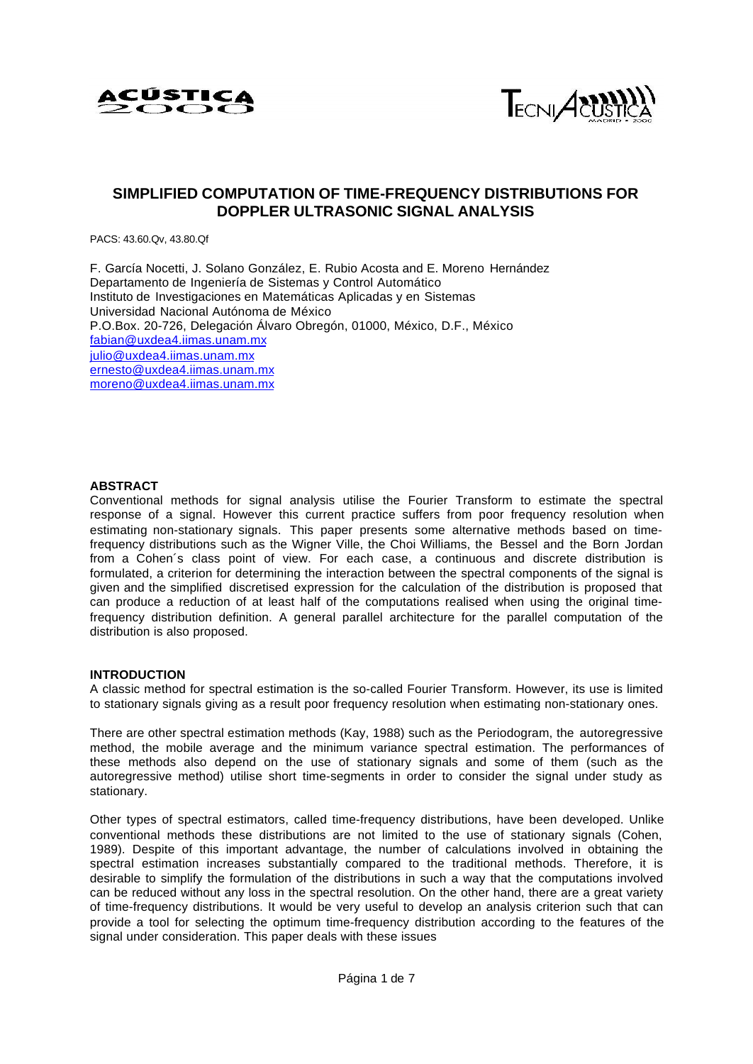



## **SIMPLIFIED COMPUTATION OF TIME-FREQUENCY DISTRIBUTIONS FOR DOPPLER ULTRASONIC SIGNAL ANALYSIS**

PACS: 43.60.Qv, 43.80.Qf

F. García Nocetti, J. Solano González, E. Rubio Acosta and E. Moreno Hernández Departamento de Ingeniería de Sistemas y Control Automático Instituto de Investigaciones en Matemáticas Aplicadas y en Sistemas Universidad Nacional Autónoma de México P.O.Box. 20-726, Delegación Álvaro Obregón, 01000, México, D.F., México fabian@uxdea4.iimas.unam.mx julio@uxdea4.iimas.unam.mx ernesto@uxdea4.iimas.unam.mx moreno@uxdea4.iimas.unam.mx

## **ABSTRACT**

Conventional methods for signal analysis utilise the Fourier Transform to estimate the spectral response of a signal. However this current practice suffers from poor frequency resolution when estimating non-stationary signals. This paper presents some alternative methods based on timefrequency distributions such as the Wigner Ville, the Choi Williams, the Bessel and the Born Jordan from a Cohen´s class point of view. For each case, a continuous and discrete distribution is formulated, a criterion for determining the interaction between the spectral components of the signal is given and the simplified discretised expression for the calculation of the distribution is proposed that can produce a reduction of at least half of the computations realised when using the original timefrequency distribution definition. A general parallel architecture for the parallel computation of the distribution is also proposed.

## **INTRODUCTION**

A classic method for spectral estimation is the so-called Fourier Transform. However, its use is limited to stationary signals giving as a result poor frequency resolution when estimating non-stationary ones.

There are other spectral estimation methods (Kay, 1988) such as the Periodogram, the autoregressive method, the mobile average and the minimum variance spectral estimation. The performances of these methods also depend on the use of stationary signals and some of them (such as the autoregressive method) utilise short time-segments in order to consider the signal under study as stationary.

Other types of spectral estimators, called time-frequency distributions, have been developed. Unlike conventional methods these distributions are not limited to the use of stationary signals (Cohen, 1989). Despite of this important advantage, the number of calculations involved in obtaining the spectral estimation increases substantially compared to the traditional methods. Therefore, it is desirable to simplify the formulation of the distributions in such a way that the computations involved can be reduced without any loss in the spectral resolution. On the other hand, there are a great variety of time-frequency distributions. It would be very useful to develop an analysis criterion such that can provide a tool for selecting the optimum time-frequency distribution according to the features of the signal under consideration. This paper deals with these issues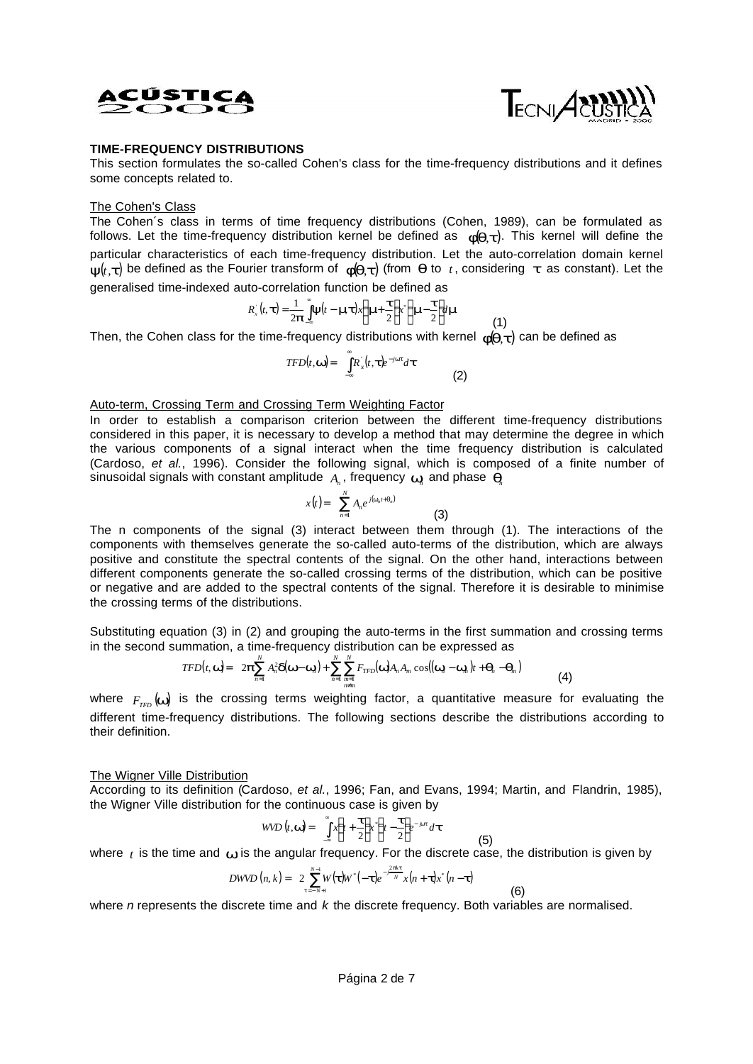



## **TIME-FREQUENCY DISTRIBUTIONS**

This section formulates the so-called Cohen's class for the time-frequency distributions and it defines some concepts related to.

#### The Cohen's Class

The Cohen´s class in terms of time frequency distributions (Cohen, 1989), can be formulated as follows. Let the time-frequency distribution kernel be defined as *f*(*q*,*t*). This kernel will define the particular characteristics of each time-frequency distribution. Let the auto-correlation domain kernel  $y(t, t)$  be defined as the Fourier transform of  $f(\boldsymbol{q}, t)$  (from  $\boldsymbol{q}$  to  $t$ , considering  $t$  as constant). Let the generalised time-indexed auto-correlation function be defined as

$$
R_x(t, t) = \frac{1}{2p} \int_{-\infty}^{a} y(t - \mathbf{m}t) x \left( \mathbf{m} + \frac{t}{2} \right) x^2 \left( \mathbf{m} - \frac{t}{2} \right) t \mathbf{m}
$$
 (1)

Then, the Cohen class for the time-frequency distributions with kernel  $\bm{\mathit{f}}(\bm{q},\bm{t})$  can be defined as

 $TFD(t, \mathbf{w}) = \int_{0}^{\infty} R_x^{\dagger}(t, \mathbf{t}) e^{-j\mathbf{w}\mathbf{t}} d\mathbf{t}$  $\boldsymbol{w}$  =  $\int_{-\infty}^{+\infty} R_x(t)$ , (2)

#### Auto-term, Crossing Term and Crossing Term Weighting Factor

In order to establish a comparison criterion between the different time-frequency distributions considered in this paper, it is necessary to develop a method that may determine the degree in which the various components of a signal interact when the time frequency distribution is calculated (Cardoso, *et al.*, 1996). Consider the following signal, which is composed of a finite number of sinusoidal signals with constant amplitude  $_{A_n}$ , frequency  $_{\bm{W}\!_n}$  and phase  $_{\bm{q}\!_n}$ 

$$
x(t) = \sum_{n=1}^{N} A_n e^{j(\mathbf{w}_n t + \mathbf{q}_n)}
$$
(3)

The n components of the signal (3) interact between them through (1). The interactions of the components with themselves generate the so-called auto-terms of the distribution, which are always positive and constitute the spectral contents of the signal. On the other hand, interactions between different components generate the so-called crossing terms of the distribution, which can be positive or negative and are added to the spectral contents of the signal. Therefore it is desirable to minimise the crossing terms of the distributions.

Substituting equation (3) in (2) and grouping the auto-terms in the first summation and crossing terms in the second summation, a time-frequency distribution can be expressed as

$$
TFD(t, \mathbf{w}) = 2\boldsymbol{p}\sum_{n=1}^{N} A_n^2 \boldsymbol{d}(\mathbf{w}-\mathbf{w}_n) + \sum_{n=1}^{N}\sum_{\substack{m=1 \ m \neq m}}^{N} F_{TFD}(\mathbf{w})A_n A_m \cos((\mathbf{w}_n - \mathbf{w}_m)t + \boldsymbol{q}_n - \boldsymbol{q}_m)
$$
(4)

where  $F_{_{TFD}}(\omega\!\mu)$  is the crossing terms weighting factor, a quantitative measure for evaluating the different time-frequency distributions. The following sections describe the distributions according to their definition.

### The Wigner Ville Distribution

According to its definition (Cardoso, *et al.*, 1996; Fan, and Evans, 1994; Martin, and Flandrin, 1985), the Wigner Ville distribution for the continuous case is given by

$$
WVD(t, \mathbf{w}) = \int_{-\infty}^{\infty} x \left(t + \frac{\boldsymbol{t}}{2}\right) \mathbf{r} \left(t - \frac{\boldsymbol{t}}{2}\right) e^{-j\mathbf{w}t} d\boldsymbol{t}
$$
 (5)

where  $t$  is the time and  $\boldsymbol{w}$  is the angular frequency. For the discrete case, the distribution is given by

(6)

$$
DWVD\left(n,k\right) = 2\sum_{t=-N+1}^{N-1} W\left(\boldsymbol{t}\right)W^*\left(-\boldsymbol{t}\right)e^{-\frac{2\mu kt}{N}}x\left(n+\boldsymbol{t}\right)x^*\left(n-\boldsymbol{t}\right)
$$

where *n* represents the discrete time and *k* the discrete frequency. Both variables are normalised.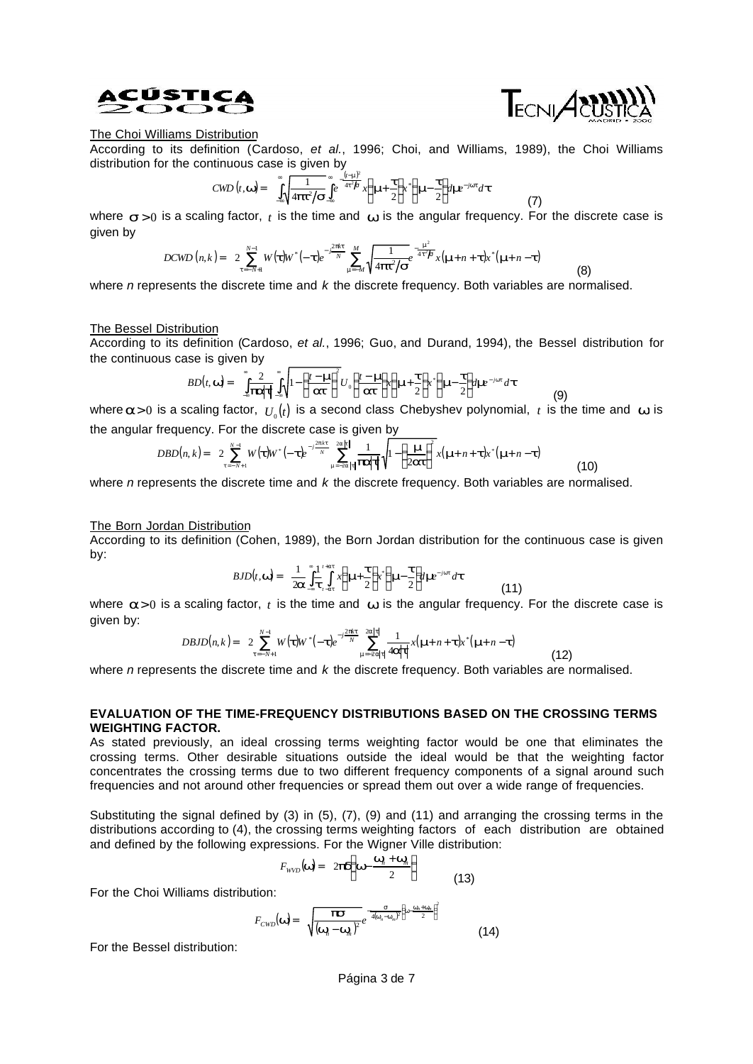



(8)

(9)

(10)

(7)

## The Choi Williams Distribution

According to its definition (Cardoso, *et al.*, 1996; Choi, and Williams, 1989), the Choi Williams distribution for the continuous case is given by

$$
CWD(t, \mathbf{w}) = \int_{-\infty}^{\infty} \sqrt{\frac{1}{4\mu^2/s}} \int_{-\infty}^{\infty} e^{-\frac{(t-\mathbf{m})^2}{4t^2/s}} x \left( \mathbf{m} + \frac{t}{2} \right) x^* \left( \mathbf{m} - \frac{t}{2} \right) d\mathbf{m}^{-j\mathbf{w}t} dt
$$

where  $s>0$  is a scaling factor, *t* is the time and **w** is the angular frequency. For the discrete case is given by

$$
DCWD(n,k) = 2\sum_{t=-N+1}^{N-1} W(t)W^{*}(-t)e^{-\frac{j^{2}jkt}{N}}\sum_{m=-M}^{M}\sqrt{\frac{1}{4pt^{2}}/s^{2}}e^{-\frac{m^{2}}{4t^{2}}t^{2}}x(m+n+t)x^{*}(m+n-t)
$$

where *n* represents the discrete time and *k* the discrete frequency. Both variables are normalised.

#### The Bessel Distribution

According to its definition (Cardoso, *et al.*, 1996; Guo, and Durand, 1994), the Bessel distribution for the continuous case is given by

$$
BD(t, \mathbf{w}) = \int_{-\infty}^{\infty} \frac{2}{|\mathbf{r}||\mathbf{r}|} \int_{-\infty}^{\infty} \sqrt{1 - \left(\frac{t - \mathbf{m}}{2\mathbf{r}}\right)^2} U_0\left(\frac{t - \mathbf{m}}{2\mathbf{r}}\right) \times \left(\mathbf{m} + \frac{\mathbf{r}}{2}\right) \times \left(\mathbf{m} - \frac{\mathbf{r}}{2}\right) d\mathbf{m}^{-j\mathbf{w}t} d\mathbf{t}
$$

where  $a$ >0 is a scaling factor,  $\,U_{_0}(t)\,$  is a second class Chebyshev polynomial,  $\,t\,$  is the time and  $\,$  **w** is the angular frequency. For the discrete case is given by

$$
DBD(n,k) = 2 \sum_{t=-N+1}^{N-1} W(t) W^{*}(-t) e^{-j\frac{2pk}{N}} \sum_{m=-2a}^{2a} \left| t \right| \frac{1}{|P|} \sqrt{1 - \left( \frac{m}{2at} \right)^{2}} x(m+n+t) x^{*} (m+n-t)
$$

where *n* represents the discrete time and *k* the discrete frequency. Both variables are normalised.

#### The Born Jordan Distribution

According to its definition (Cohen, 1989), the Born Jordan distribution for the continuous case is given by:

$$
BJD(t, \mathbf{w}) = \frac{1}{2\mathbf{a}} \int_{-\infty}^{\infty} \frac{1}{t} \int_{-at}^{t+at} x \left( \mathbf{m} + \frac{\mathbf{t}}{2} \right) x \left( \mathbf{m} - \frac{\mathbf{t}}{2} \right) d\mathbf{m} e^{-j\mathbf{w}t} dt \tag{11}
$$

where  $a>0$  is a scaling factor,  $t$  is the time and  $w$  is the angular frequency. For the discrete case is given by:

$$
DBJD(n,k) = 2\sum_{t=-N+1}^{N-1} W(\boldsymbol{t})W^*(-\boldsymbol{t})e^{-j\frac{2\mu t}{N}}\sum_{m=-2a|t|}^{2a|t|}\frac{1}{4\epsilon|\boldsymbol{t}|}x(m+n+\boldsymbol{t})x^*(m+n-\boldsymbol{t})
$$
(12)

where *n* represents the discrete time and *k* the discrete frequency. Both variables are normalised.

## **EVALUATION OF THE TIME-FREQUENCY DISTRIBUTIONS BASED ON THE CROSSING TERMS WEIGHTING FACTOR.**

As stated previously, an ideal crossing terms weighting factor would be one that eliminates the crossing terms. Other desirable situations outside the ideal would be that the weighting factor concentrates the crossing terms due to two different frequency components of a signal around such frequencies and not around other frequencies or spread them out over a wide range of frequencies.

Substituting the signal defined by (3) in (5), (7), (9) and (11) and arranging the crossing terms in the distributions according to (4), the crossing terms weighting factors of each distribution are obtained and defined by the following expressions. For the Wigner Ville distribution:

$$
F_{\text{WVD}}(\mathbf{w}) = 2\mathbf{p}\mathbf{a}\left(\mathbf{w} - \frac{\mathbf{w}_{n}^{\prime} + \mathbf{w}_{n}}{2}\right) \tag{13}
$$

For the Choi Williams distribution:

$$
F_{CWD}(\mathbf{w}) = \sqrt{\frac{\mathbf{p}}{(\mathbf{w}_n - \mathbf{w}_m)^2}} e^{-\frac{\mathbf{S}}{4(\mathbf{w}_n - \mathbf{w}_m)^2} \left(\mathbf{w} - \frac{\mathbf{w}_n + \mathbf{w}_m}{2}\right)^2}
$$
(14)

For the Bessel distribution: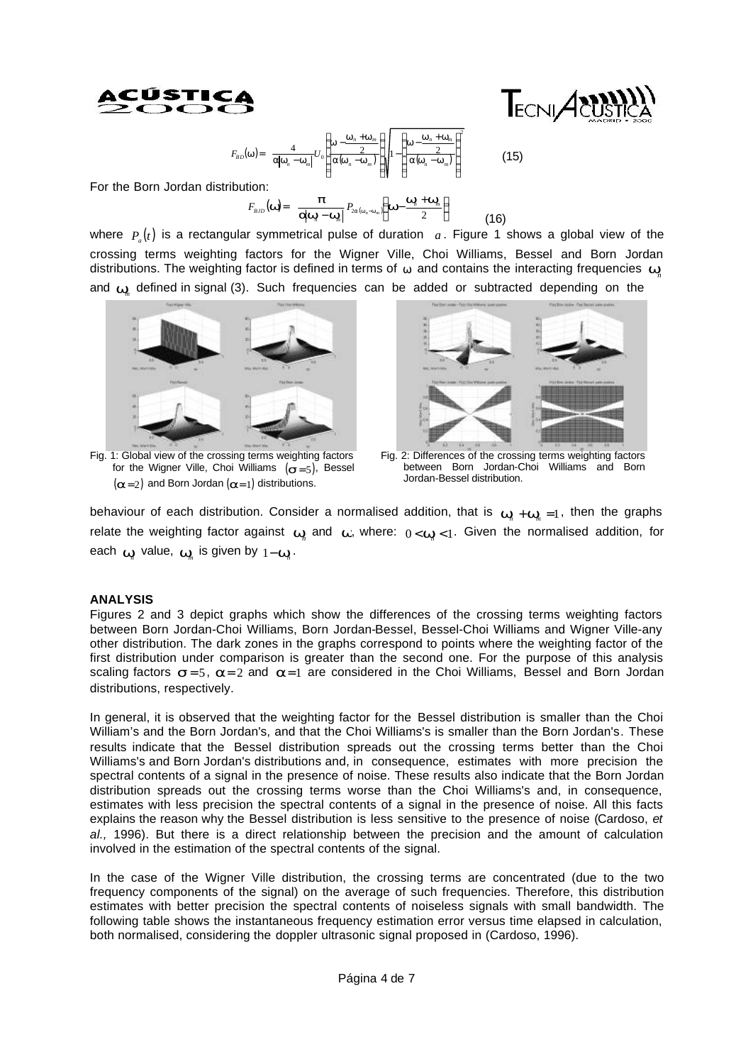



$$
F_{BD}(\mathbf{w}) = \frac{4}{\mathbf{a}|\mathbf{w}_n - \mathbf{w}_m|} U_0 \left( \frac{\mathbf{w} - \frac{\mathbf{w}_n + \mathbf{w}_m}{2}}{\mathbf{a}(\mathbf{w}_n - \mathbf{w}_m)} \right) \left( 1 - \left( \frac{\mathbf{w} - \frac{\mathbf{w}_n + \mathbf{w}_m}{2}}{\mathbf{a}(\mathbf{w}_n - \mathbf{w}_m)} \right)^2 \right)
$$
(15)

For the Born Jordan distribution:

$$
F_{\scriptscriptstyle{BJD}}(\mathbf{w}) = \frac{\boldsymbol{p}}{\mathbf{q}\mathbf{w}_{\scriptscriptstyle{n}} - \mathbf{w}_{\scriptscriptstyle{n}}}\Big| P_{\scriptscriptstyle{2a}(\mathbf{w}_{\scriptscriptstyle{n}} - \mathbf{w}_{\scriptscriptstyle{n}})}\Big(\mathbf{w} - \frac{\mathbf{w}_{\scriptscriptstyle{n}} + \mathbf{w}_{\scriptscriptstyle{n}}}{2}\Big) \tag{16}
$$

where  $P_a(t)$  is a rectangular symmetrical pulse of duration  $a$ . Figure 1 shows a global view of the crossing terms weighting factors for the Wigner Ville, Choi Williams, Bessel and Born Jordan distributions. The weighting factor is defined in terms of  $w$  and contains the interacting frequencies  $w$ and *w<sup>m</sup>* defined in signal (3). Such frequencies can be added or subtracted depending on the



Fig. 1: Global view of the crossing terms weighting factors for the Wigner Ville, Choi Williams  $(s=5)$ , Bessel  $(a=2)$  and Born Jordan  $(a=1)$  distributions.



Fig. 2: Differences of the crossing terms weighting factors between Born Jordan-Choi Williams and Born Jordan-Bessel distribution.

behaviour of each distribution. Consider a normalised addition, that is  $w_n + w_n = 1$ , then the graphs relate the weighting factor against  $w_{n}$  and  $w$ , where:  $0< w_{n} < 1$ . Given the normalised addition, for each  $\mathbf{w}$  value,  $\mathbf{w}$  is given by  $1-\mathbf{w}$ .

## **ANALYSIS**

Figures 2 and 3 depict graphs which show the differences of the crossing terms weighting factors between Born Jordan-Choi Williams, Born Jordan-Bessel, Bessel-Choi Williams and Wigner Ville-any other distribution. The dark zones in the graphs correspond to points where the weighting factor of the first distribution under comparison is greater than the second one. For the purpose of this analysis scaling factors  $s = 5$ ,  $a = 2$  and  $a = 1$  are considered in the Choi Williams, Bessel and Born Jordan distributions, respectively.

In general, it is observed that the weighting factor for the Bessel distribution is smaller than the Choi William's and the Born Jordan's, and that the Choi Williams's is smaller than the Born Jordan's. These results indicate that the Bessel distribution spreads out the crossing terms better than the Choi Williams's and Born Jordan's distributions and, in consequence, estimates with more precision the spectral contents of a signal in the presence of noise. These results also indicate that the Born Jordan distribution spreads out the crossing terms worse than the Choi Williams's and, in consequence, estimates with less precision the spectral contents of a signal in the presence of noise. All this facts explains the reason why the Bessel distribution is less sensitive to the presence of noise (Cardoso, *et al.,* 1996). But there is a direct relationship between the precision and the amount of calculation involved in the estimation of the spectral contents of the signal.

In the case of the Wigner Ville distribution, the crossing terms are concentrated (due to the two frequency components of the signal) on the average of such frequencies. Therefore, this distribution estimates with better precision the spectral contents of noiseless signals with small bandwidth. The following table shows the instantaneous frequency estimation error versus time elapsed in calculation, both normalised, considering the doppler ultrasonic signal proposed in (Cardoso, 1996).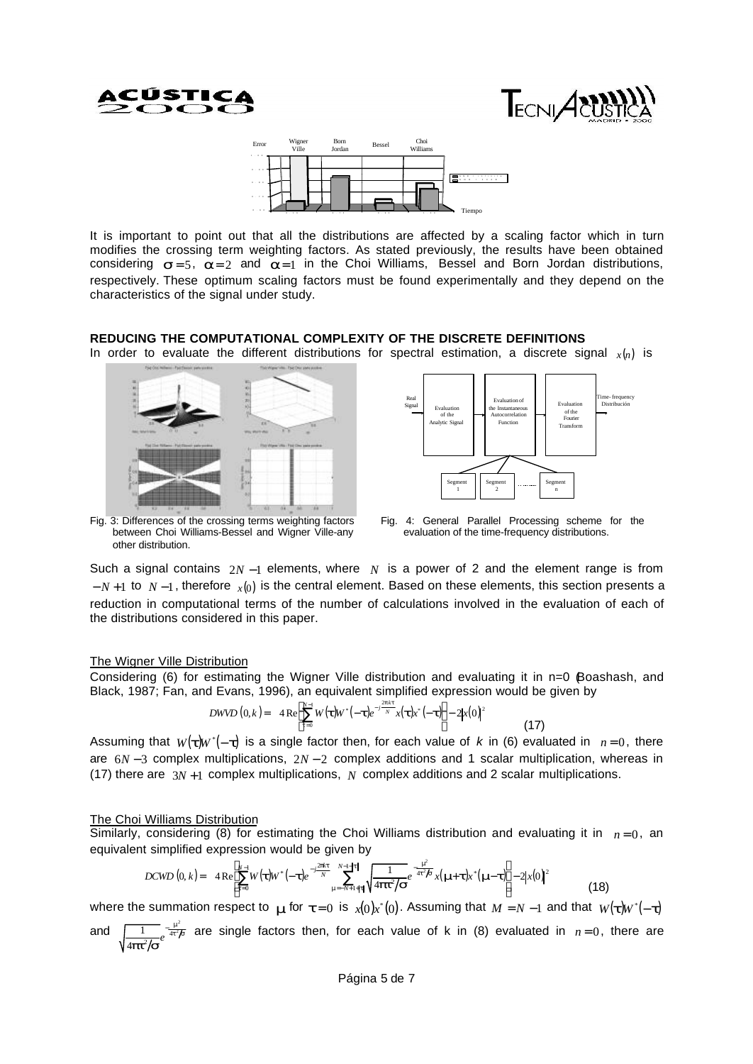





It is important to point out that all the distributions are affected by a scaling factor which in turn modifies the crossing term weighting factors. As stated previously, the results have been obtained considering  $s = 5$ ,  $a = 2$  and  $a = 1$  in the Choi Williams, Bessel and Born Jordan distributions, respectively. These optimum scaling factors must be found experimentally and they depend on the characteristics of the signal under study.

## **REDUCING THE COMPUTATIONAL COMPLEXITY OF THE DISCRETE DEFINITIONS**

In order to evaluate the different distributions for spectral estimation, a discrete signal  $x(n)$  is





Fig. 3: Differences of the crossing terms weighting factors between Choi Williams-Bessel and Wigner Ville-any other distribution.

Fig. 4: General Parallel Processing scheme for the evaluation of the time-frequency distributions.

Such a signal contains 2*N* −1 elements, where *N* is a power of 2 and the element range is from − *N* +1 to *N* −1, therefore *x*(0) is the central element. Based on these elements, this section presents a reduction in computational terms of the number of calculations involved in the evaluation of each of the distributions considered in this paper.

### The Wigner Ville Distribution

Considering (6) for estimating the Wigner Ville distribution and evaluating it in n=0 (Boashash, and Black, 1987; Fan, and Evans, 1996), an equivalent simplified expression would be given by

$$
DWVD(0,k) = 4\operatorname{Re}\left[\sum_{t=0}^{N-1}W(t)W^*(-t)e^{-j\frac{2\operatorname{pk}t}{N}}x(t)x^*(-t)\right] - 2|x(0)|^2\tag{17}
$$

Assuming that  $w(t)w^*(-t)$  is a single factor then, for each value of *k* in (6) evaluated in  $n=0$ , there are 6*N* − 3 complex multiplications, 2*N* − 2 complex additions and 1 scalar multiplication, whereas in (17) there are 3*N* +1 complex multiplications, *N* complex additions and 2 scalar multiplications.

### The Choi Williams Distribution

Similarly, considering (8) for estimating the Choi Williams distribution and evaluating it in  $n=0$ , an equivalent simplified expression would be given by

$$
DCWD\left(0,k\right) = 4 \text{Re} \left[ \sum_{t=0}^{N-1} W(t) W^{*}(-t) e^{-j\frac{2\pi kt}{N}} \sum_{m=-N+1+\lvert t \rvert}^{N-1+\lvert t \rvert} \sqrt{\frac{1}{4pt^2/s}} e^{-\frac{m^2}{4t^2/s}} x(m+t) x^{*}(m-t) \right] - 2|x(0)|^2 \tag{18}
$$

where the summation respect to  $\bm{m}$  for  $\bm{t} = 0$  is  $x(0)x^*(0)$ . Assuming that  $M = N - 1$  and that  $W(\bm{t})W^*(-\bm{t})$ 

and  $\sqrt{1-x^2/s^2}$  $\frac{1}{pt^2/s}e^{-\frac{m^2}{4t^2/s}}$  $\frac{1}{4}$  pt<sup>2</sup>/s<sup>e 4</sup>  $\frac{1}{2}$  $\frac{1}{4t^2/5}$  are single factors then, for each value of k in (8) evaluated in  $n=0$ , there are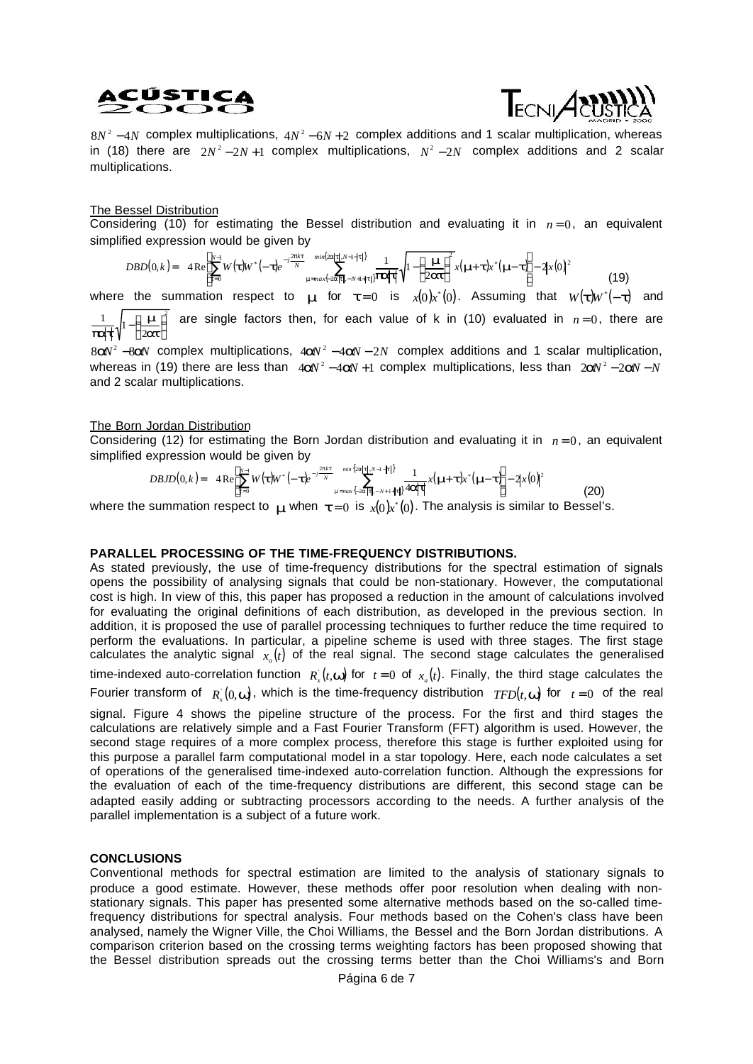# ACÚSTI



 $8N^2 - 4N$  complex multiplications,  $4N^2 - 6N + 2$  complex additions and 1 scalar multiplication, whereas in (18) there are  $2N^2 - 2N + 1$  complex multiplications,  $N^2 - 2N$  complex additions and 2 scalar multiplications.

## The Bessel Distribution

Considering (10) for estimating the Bessel distribution and evaluating it in  $n=0$ , an equivalent simplified expression would be given by

$$
DBD(0,k) = 4 \operatorname{Re} \left[ \sum_{t=0}^{N-1} W(t) W^* \left( -t \right) e^{-j \frac{2\mathbf{p} k t}{N}} \max_{\mathbf{m} = max \{-2\mathbf{a} | t | - N+1 + \mathbf{b} | t | \} } \frac{1}{|\mathbf{P} \mathbf{a}| t |} \sqrt{1 - \left( \frac{\mathbf{m}}{2 \mathbf{a} t} \right)^2} x (\mathbf{m} \cdot t) x^* (\mathbf{m} \cdot t) \right] - 2 |x(0)|^2
$$
(19)

where the summation respect to  $_{m}$  for  $t = 0$  is  $_{x(0)x}(x)$ . Assuming that  $_{W(\boldsymbol{t})W^*}(-\boldsymbol{t})$  and  $-\left(\frac{m}{2at}\right)$ 1 1 Ì ſ *m pat* are single factors then, for each value of k in (10) evaluated in  $n=0$ , there are

8aV<sup>2</sup> -8aV complex multiplications, 4aV<sup>2</sup> -4aV - 2N complex additions and 1 scalar multiplication, whereas in (19) there are less than  $4aV^2 - 4aV + 1$  complex multiplications, less than  $2aV^2 - 2aV - N$ and 2 scalar multiplications.

### The Born Jordan Distribution

Considering (12) for estimating the Born Jordan distribution and evaluating it in  $n=0$ , an equivalent simplified expression would be given by

$$
DBJD(0,k) = 4 \operatorname{Re} \left[ \sum_{t=0}^{N-1} W(t) W^* \left( -t \right) e^{-j\frac{2pk}{N}} \sum_{m=max\{-2a[t], -N+1+|t|\}}^{min\{2a[t], N-1+|t|\}} \frac{1}{4a|t|} x(m+t) x^* (m-t) \right] - 2|x(0)|^2
$$
(20)

where the summation respect to  $\bm{m}$  when  $\bm{t}$  = 0 is  $\chi(0)x^*(0)$ . The analysis is similar to Bessel's.

### **PARALLEL PROCESSING OF THE TIME-FREQUENCY DISTRIBUTIONS.**

As stated previously, the use of time-frequency distributions for the spectral estimation of signals opens the possibility of analysing signals that could be non-stationary. However, the computational cost is high. In view of this, this paper has proposed a reduction in the amount of calculations involved for evaluating the original definitions of each distribution, as developed in the previous section. In addition, it is proposed the use of parallel processing techniques to further reduce the time required to perform the evaluations. In particular, a pipeline scheme is used with three stages. The first stage calculates the analytic signal  $x_a(t)$  of the real signal. The second stage calculates the generalised time-indexed auto-correlation function  $R_x^+(t, \mathbf{w})$  for  $t=0$  of  $x_a(t)$ . Finally, the third stage calculates the Fourier transform of  $R_x(0, \mathbf{w})$ , which is the time-frequency distribution  $TFD(t, \mathbf{w})$  for  $t = 0$  of the real

signal. Figure 4 shows the pipeline structure of the process. For the first and third stages the calculations are relatively simple and a Fast Fourier Transform (FFT) algorithm is used. However, the second stage requires of a more complex process, therefore this stage is further exploited using for this purpose a parallel farm computational model in a star topology. Here, each node calculates a set of operations of the generalised time-indexed auto-correlation function. Although the expressions for the evaluation of each of the time-frequency distributions are different, this second stage can be adapted easily adding or subtracting processors according to the needs. A further analysis of the parallel implementation is a subject of a future work.

## **CONCLUSIONS**

Conventional methods for spectral estimation are limited to the analysis of stationary signals to produce a good estimate. However, these methods offer poor resolution when dealing with nonstationary signals. This paper has presented some alternative methods based on the so-called timefrequency distributions for spectral analysis. Four methods based on the Cohen's class have been analysed, namely the Wigner Ville, the Choi Williams, the Bessel and the Born Jordan distributions. A comparison criterion based on the crossing terms weighting factors has been proposed showing that the Bessel distribution spreads out the crossing terms better than the Choi Williams's and Born